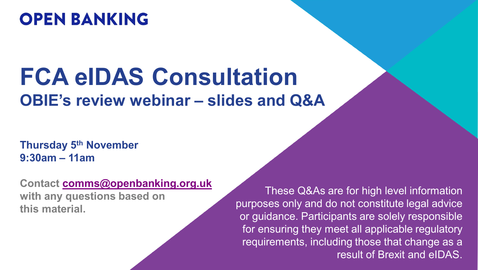# **OPEN BANKING**

# **FCA eIDAS Consultation OBIE's review webinar – slides and Q&A**

**Thursday 5th November 9:30am – 11am**

**Contact [comms@openbanking.org.uk](mailto:comms@openbanking.org.uk) with any questions based on this material.**

These Q&As are for high level information purposes only and do not constitute legal advice or guidance. Participants are solely responsible for ensuring they meet all applicable regulatory requirements, including those that change as a result of Brexit and eIDAS.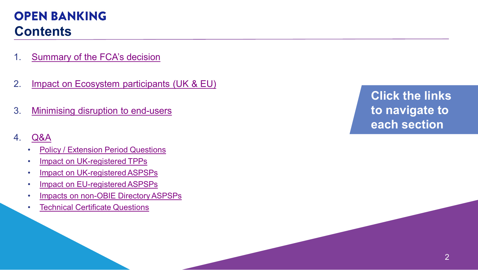## **OPEN BANKING Contents**

- 1. [Summary of the FCA's decision](#page-2-0)
- 2. [Impact on Ecosystem participants \(UK & EU\)](#page-3-0)
- 3. [Minimising disruption to end-users](#page-6-0)
- 4. [Q&A](#page-9-0)
	- [Policy / Extension Period Questions](#page-10-0)
	- [Impact on UK-registered TPPs](#page-13-0)
	- [Impact on UK-registered ASPSPs](#page-18-0)
	- [Impact on EU-registered ASPSPs](#page-23-0)
	- [Impacts on non-OBIE Directory ASPSPs](#page-26-0)
	- [Technical Certificate Questions](#page-27-0)

**Click the links to navigate to each section**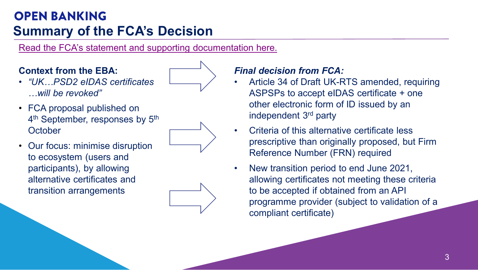## <span id="page-2-0"></span>**OPEN BANKING Summary of the FCA's Decision**

[Read the FCA's statement and supporting documentation here.](https://www.fca.org.uk/news/statements/fca-announces-changes-open-banking-identification-requirements) 

#### **Context from the EBA:**

- *"UK…PSD2 eIDAS certificates …will be revoked"*
- FCA proposal published on 4<sup>th</sup> September, responses by 5<sup>th</sup> **October**



• Our focus: minimise disruption to ecosystem (users and participants), by allowing alternative certificates and transition arrangements



#### *Final decision from FCA:*

- Article 34 of Draft UK-RTS amended, requiring ASPSPs to accept eIDAS certificate + one other electronic form of ID issued by an independent 3rd party
- Criteria of this alternative certificate less prescriptive than originally proposed, but Firm Reference Number (FRN) required
- New transition period to end June 2021, allowing certificates not meeting these criteria to be accepted if obtained from an API programme provider (subject to validation of a compliant certificate)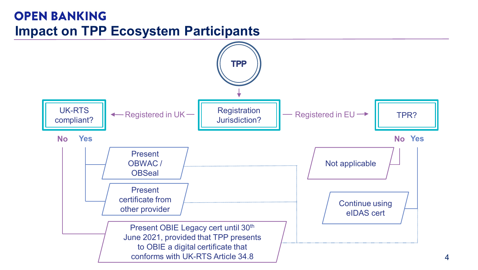#### <span id="page-3-0"></span>**OPEN BANKING Impact on TPP Ecosystem Participants**

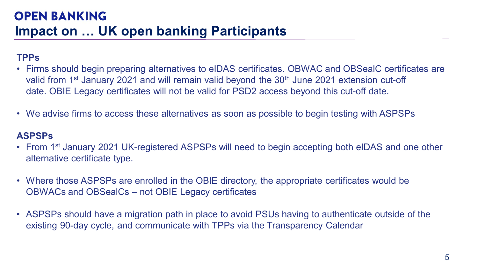#### **TPPs**

- Firms should begin preparing alternatives to eIDAS certificates. OBWAC and OBSealC certificates are valid from 1<sup>st</sup> January 2021 and will remain valid beyond the 30<sup>th</sup> June 2021 extension cut-off date. OBIE Legacy certificates will not be valid for PSD2 access beyond this cut-off date.
- We advise firms to access these alternatives as soon as possible to begin testing with ASPSPs

#### **ASPSPs**

- From 1<sup>st</sup> January 2021 UK-registered ASPSPs will need to begin accepting both eIDAS and one other alternative certificate type.
- Where those ASPSPs are enrolled in the OBIE directory, the appropriate certificates would be OBWACs and OBSealCs – not OBIE Legacy certificates
- ASPSPs should have a migration path in place to avoid PSUs having to authenticate outside of the existing 90-day cycle, and communicate with TPPs via the Transparency Calendar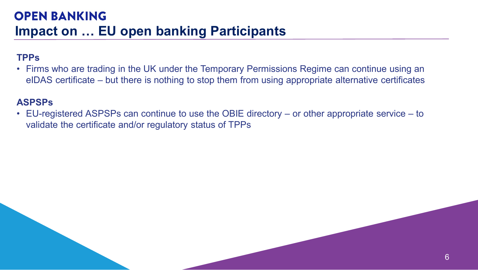#### **TPPs**

• Firms who are trading in the UK under the Temporary Permissions Regime can continue using an eIDAS certificate – but there is nothing to stop them from using appropriate alternative certificates

#### **ASPSPs**

• EU-registered ASPSPs can continue to use the OBIE directory – or other appropriate service – to validate the certificate and/or regulatory status of TPPs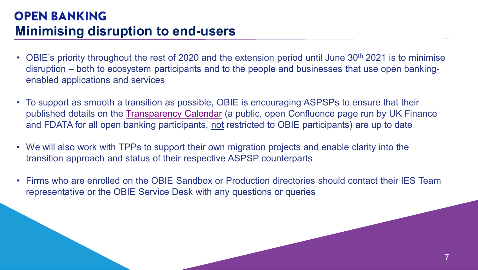#### <span id="page-6-0"></span>**OPEN BANKING Minimising disruption to end-users**

- OBIE's priority throughout the rest of 2020 and the extension period until June 30<sup>th</sup> 2021 is to minimise disruption – both to ecosystem participants and to the people and businesses that use open bankingenabled applications and services
- To support as smooth a transition as possible, OBIE is encouraging ASPSPs to ensure that their published details on the [Transparency Calendar](https://openbanking.atlassian.net/wiki/spaces/AD/pages/1135346433/Transparency+Calendar) (a public, open Confluence page run by UK Finance and FDATA for all open banking participants, not restricted to OBIE participants) are up to date
- We will also work with TPPs to support their own migration projects and enable clarity into the transition approach and status of their respective ASPSP counterparts
- Firms who are enrolled on the OBIE Sandbox or Production directories should contact their IES Team representative or the OBIE Service Desk with any questions or queries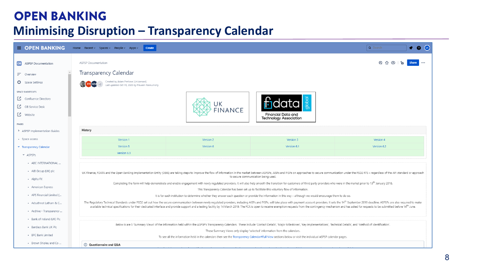#### **OPEN BANKING**

#### **Minimising Disruption – Transparency Calendar**

| <b>DENBANKING</b>                | Home Recent $\vee$ Spaces $\vee$ People $\vee$ Apps $\vee$<br>Create                                                                                                                                                                                          |                                                                                                                                                                                                                                                                       |                                                            | Q Search    |  |  |  |  |  |  |  |
|----------------------------------|---------------------------------------------------------------------------------------------------------------------------------------------------------------------------------------------------------------------------------------------------------------|-----------------------------------------------------------------------------------------------------------------------------------------------------------------------------------------------------------------------------------------------------------------------|------------------------------------------------------------|-------------|--|--|--|--|--|--|--|
| OB<br><b>ASPSP Documentation</b> | <b>ASPSP</b> Documentation                                                                                                                                                                                                                                    |                                                                                                                                                                                                                                                                       |                                                            |             |  |  |  |  |  |  |  |
| F.<br>Overview                   | Transparency Calendar                                                                                                                                                                                                                                         |                                                                                                                                                                                                                                                                       |                                                            |             |  |  |  |  |  |  |  |
| Space Settings                   | Created by Adam Pretiove (Unlicensed)<br>$+2$<br>Last updated Oct 19, 2020 by Praveen Ponnumony                                                                                                                                                               |                                                                                                                                                                                                                                                                       |                                                            |             |  |  |  |  |  |  |  |
| <b>SPACE SHORTCUTS</b>           |                                                                                                                                                                                                                                                               |                                                                                                                                                                                                                                                                       |                                                            |             |  |  |  |  |  |  |  |
| Confluence Directory             |                                                                                                                                                                                                                                                               |                                                                                                                                                                                                                                                                       |                                                            |             |  |  |  |  |  |  |  |
| <b>4</b> OB Service Desk         |                                                                                                                                                                                                                                                               | UK<br><b>FINANCE</b>                                                                                                                                                                                                                                                  |                                                            |             |  |  |  |  |  |  |  |
| <b>【</b> Website                 |                                                                                                                                                                                                                                                               |                                                                                                                                                                                                                                                                       | <b>Financial Data and</b><br><b>Technology Association</b> |             |  |  |  |  |  |  |  |
| PAGES                            |                                                                                                                                                                                                                                                               |                                                                                                                                                                                                                                                                       |                                                            |             |  |  |  |  |  |  |  |
| > ASPSP Implementation Guides    | History                                                                                                                                                                                                                                                       |                                                                                                                                                                                                                                                                       |                                                            |             |  |  |  |  |  |  |  |
| · Space access                   | Version 1                                                                                                                                                                                                                                                     | Version 2                                                                                                                                                                                                                                                             | Version 3                                                  | Version 4   |  |  |  |  |  |  |  |
| Transparency Calendar            | Version 5                                                                                                                                                                                                                                                     | Version 6                                                                                                                                                                                                                                                             | Version 6.1                                                | Version 6.2 |  |  |  |  |  |  |  |
| $\times$ ASPSPs                  | Version 6.3                                                                                                                                                                                                                                                   |                                                                                                                                                                                                                                                                       |                                                            |             |  |  |  |  |  |  |  |
| - ABC INTERNATIONAL              |                                                                                                                                                                                                                                                               |                                                                                                                                                                                                                                                                       |                                                            |             |  |  |  |  |  |  |  |
| • AIB Group (UK) plc             |                                                                                                                                                                                                                                                               | UK Finance, FDATA and the Open Banking Implementation Entity (OBIE) are taking steps to improve the flow of information in the market between ASPSPs, AISPs and PISPs on approaches to secure communication under the PSD2 RTS<br>to secure communication being used. |                                                            |             |  |  |  |  |  |  |  |
| · Alpha FX                       |                                                                                                                                                                                                                                                               |                                                                                                                                                                                                                                                                       |                                                            |             |  |  |  |  |  |  |  |
| · American Express               |                                                                                                                                                                                                                                                               | Completing the form will help demonstrate and enable engagement with newly regulated providers. It will also help smooth the transition for customers of third party providers who were in the market prior to 13 <sup>th</sup> January                               |                                                            |             |  |  |  |  |  |  |  |
| · APS Financial Limited (        | This Transparency Calendar has been set up to facilitate this voluntary flow of information.<br>It is for each institution to determine whether they answer each question or provide the information in this way - although we would encourage them to do so. |                                                                                                                                                                                                                                                                       |                                                            |             |  |  |  |  |  |  |  |
| · Arbuthnot Latham & C           |                                                                                                                                                                                                                                                               | The Regulatory Technical Standards under PSD2 set out how the secure communication between newly regulated providers, including AISPs and PISPs, will take place with payment account providers. It sets the 14 <sup>th</sup> September                               |                                                            |             |  |  |  |  |  |  |  |
| · Archive - Transparency         | available technical specifications for their dedicated interface and provide support and a testing facility by 14 March 2019. The FCA is open to receive exemption requests from the contingency mechanism and has asked for r                                |                                                                                                                                                                                                                                                                       |                                                            |             |  |  |  |  |  |  |  |
| - Bank of Ireland (UK) Plc       |                                                                                                                                                                                                                                                               |                                                                                                                                                                                                                                                                       |                                                            |             |  |  |  |  |  |  |  |
|                                  | Below is are 5 'Summary Views' of the information held within the ASPSP's Transparency Calendars. These include 'Contact Details', 'Major Milestones', 'Key Implementations', 'Technical Details', and 'Method of Identificati                                |                                                                                                                                                                                                                                                                       |                                                            |             |  |  |  |  |  |  |  |
| · Barclays Bank UK Plc           |                                                                                                                                                                                                                                                               | These Summary Views only display 'selected' information from the calendars.                                                                                                                                                                                           |                                                            |             |  |  |  |  |  |  |  |
| · BFC Bank Limited               |                                                                                                                                                                                                                                                               | To see all the information held in the calendars then see the Transparency Calendar#Full View sections below or visit the individual ASPSP calendar pages.                                                                                                            |                                                            |             |  |  |  |  |  |  |  |
| · Brown Shipley and Co           | (i) Questionnaire and Q&A                                                                                                                                                                                                                                     |                                                                                                                                                                                                                                                                       |                                                            |             |  |  |  |  |  |  |  |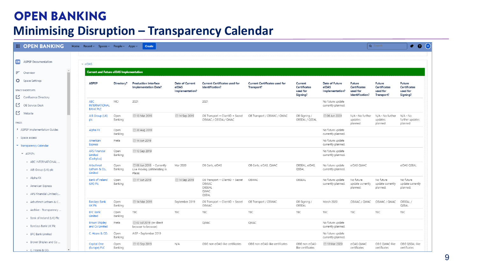#### **OPEN BANKING**

#### **Minimising Disruption – Transparency Calendar**

| OB<br><b>ASPSP Documentation</b><br>$~\vee$ eIDAS<br><b>Current and Future elDAS Implementation</b><br>$=$ Overview<br>Space Settings<br><b>ASPSP</b><br><b>Current Certificates used for</b><br><b>Current Certificates used for</b><br>Directory?<br><b>Production Interface</b><br>Date of Current<br>Date of Future<br>Future<br>Future<br>Future<br>Current<br>elDAS<br>Identification?<br>elDAS<br>Certificates<br><b>Implementation Date?</b><br>Transport?<br>Certificates<br><b>Certificates</b><br>Certificates<br><b>SPACE SHORTCUTS</b><br>Implementation?<br>used for<br>Implementation?<br>used for<br>used for<br>used for<br>Signing?<br>Identification?<br>Signing?<br>Transport?<br>Confluence Directory<br><b>ABC</b><br>MCI<br>2021<br>2021<br>No future update<br><b>4</b> OB Service Desk<br><b>INTERNATIONAL</b><br>currently planned.<br><b>BANK PLC</b><br><b>【</b> Website<br>□ 13 Mar 2019<br>□ 14 Sep 2019<br>2020 O6 Jun 2020<br>N/A - No further<br>N/A - No further<br>N/A - No<br>AIB Group (UK)<br>Open<br>OB Transport + ClientID + Secret<br>OB Transport / OBWAC / QWAC<br>OB Signing /<br>plc<br>Banking<br>OBWAC / OBSEAL/ QWAC<br>OBSEAL / QSEAL<br>further updates<br>updates<br>updates<br>PAGES<br>planned<br>planned<br>planned<br>> ASPSP Implementation Guides<br>Alpha FX<br>■ 30 Aug 2019<br>Open<br>No future update<br>Banking<br>currently planned.<br>· Space access<br>□ 14 Jun 2019<br>American<br>Preta<br>No future update<br>currently planned.<br><b>Express</b><br>Transparency Calendar<br><b>APS Financial</b><br>Open<br>□ 13 Sep 2019<br>No future update<br>$\times$ ASPSPs<br>Limited<br>Banking<br>currently planned.<br>(Cashplus)<br>- ABC INTERNATIONAL<br>@ 06 Jun 2019 - Currently<br>No future update<br>Arbuthnot<br>Open<br>Mar 2020<br>OB Certs, elDAS<br>OB Certs, elDAS, QWAC<br>OBSEAL, elDAS,<br>elDAS QWAC<br>elDAS QSEAL<br>Banking<br>QSEAL<br>currently planned.<br>Latham & Co.,<br>Live Proving (Whitelisting in<br>- AIB Group (UK) plc<br>Limited<br>Place)<br>· Alpha FX<br><b>Bank of Ireland</b><br>□ 17 Jun 2019<br>□ 14 Sep 2019<br>OB Transport + ClientID + Secret<br>OBSEAL<br>No future<br>No future<br>No future<br>Open<br>OBWAC<br>No future update<br>Banking<br>OBWAC<br>(UK) Plc<br>currently planned.<br>update currently<br>update currently<br>update currently<br>· American Express<br>OBSEAL<br>planned.<br>planned.<br>planned.<br>OWAC<br>- APS Financial Limited (<br>OSEAL<br>□ 14 Mar 2019<br><b>Barclays Bank</b><br>Open<br>September 2019<br>OB Transport + ClientID + Secret<br>OB Signing /<br>March 2020<br>OBWAC / QWAC<br>OBWAC / QWAC<br>OBSEAL/<br>OB Transport / OBWAC<br>- Arbuthnot Latham & C<br>OBSEAL<br>UK Plc<br>Banking<br>OBWAC<br>QSEAL<br>· Archive - Transparency<br><b>BFC Bank</b><br><b>TBC</b><br>TBC<br>TBC<br>Open<br>TBC<br>TBC<br><b>TBC</b><br>TBC<br>TBC<br><b>TBC</b><br>Limited<br>Banking<br>- Bank of Ireland (UK) Plc<br>2019 (re-direct<br><b>Brown Shipley</b><br>Preta<br>QWAC<br>QWAC<br>No future update<br>- Barclays Bank UK Plc<br>and Co Limited<br>currently planned.<br>browser to browser)<br>Open<br>No future update<br>C. Hoare & CO.<br>AISP - September 2019<br>- BFC Bank Limited<br>Banking<br>currently planned.<br>· Brown Shipley and Co<br>OBIE non eIDAS-like certificates<br>OBIE non eIDAS-like certificates<br>OBIE QWAC-like<br>OBIE QSEAL-like<br>Capital One<br>Open<br>□ 13 Sep 2019<br>N/A<br>OBIE non elDAS-<br>□ 10 Mar 2020<br>elDAS QWAC<br>(Europe) PLC<br>Banking<br>like certificates<br>certificates<br>certificates<br>certificates | <b>DEN BANKING</b>                |  | Home Recent > Spaces > People > Apps > |  | Create |  |  |  |  |  |  | Q Search | ◆ ● (× |  |
|------------------------------------------------------------------------------------------------------------------------------------------------------------------------------------------------------------------------------------------------------------------------------------------------------------------------------------------------------------------------------------------------------------------------------------------------------------------------------------------------------------------------------------------------------------------------------------------------------------------------------------------------------------------------------------------------------------------------------------------------------------------------------------------------------------------------------------------------------------------------------------------------------------------------------------------------------------------------------------------------------------------------------------------------------------------------------------------------------------------------------------------------------------------------------------------------------------------------------------------------------------------------------------------------------------------------------------------------------------------------------------------------------------------------------------------------------------------------------------------------------------------------------------------------------------------------------------------------------------------------------------------------------------------------------------------------------------------------------------------------------------------------------------------------------------------------------------------------------------------------------------------------------------------------------------------------------------------------------------------------------------------------------------------------------------------------------------------------------------------------------------------------------------------------------------------------------------------------------------------------------------------------------------------------------------------------------------------------------------------------------------------------------------------------------------------------------------------------------------------------------------------------------------------------------------------------------------------------------------------------------------------------------------------------------------------------------------------------------------------------------------------------------------------------------------------------------------------------------------------------------------------------------------------------------------------------------------------------------------------------------------------------------------------------------------------------------------------------------------------------------------------------------------------------------------------------------------------------------------------------------------------------------------------------------------------------------------------------------------------------------------------------------------------------------------------------------------------------------------------------------------------------------------------------------------------------------------------------------------------------------------|-----------------------------------|--|----------------------------------------|--|--------|--|--|--|--|--|--|----------|--------|--|
|                                                                                                                                                                                                                                                                                                                                                                                                                                                                                                                                                                                                                                                                                                                                                                                                                                                                                                                                                                                                                                                                                                                                                                                                                                                                                                                                                                                                                                                                                                                                                                                                                                                                                                                                                                                                                                                                                                                                                                                                                                                                                                                                                                                                                                                                                                                                                                                                                                                                                                                                                                                                                                                                                                                                                                                                                                                                                                                                                                                                                                                                                                                                                                                                                                                                                                                                                                                                                                                                                                                                                                                                                                    |                                   |  |                                        |  |        |  |  |  |  |  |  |          |        |  |
|                                                                                                                                                                                                                                                                                                                                                                                                                                                                                                                                                                                                                                                                                                                                                                                                                                                                                                                                                                                                                                                                                                                                                                                                                                                                                                                                                                                                                                                                                                                                                                                                                                                                                                                                                                                                                                                                                                                                                                                                                                                                                                                                                                                                                                                                                                                                                                                                                                                                                                                                                                                                                                                                                                                                                                                                                                                                                                                                                                                                                                                                                                                                                                                                                                                                                                                                                                                                                                                                                                                                                                                                                                    |                                   |  |                                        |  |        |  |  |  |  |  |  |          |        |  |
|                                                                                                                                                                                                                                                                                                                                                                                                                                                                                                                                                                                                                                                                                                                                                                                                                                                                                                                                                                                                                                                                                                                                                                                                                                                                                                                                                                                                                                                                                                                                                                                                                                                                                                                                                                                                                                                                                                                                                                                                                                                                                                                                                                                                                                                                                                                                                                                                                                                                                                                                                                                                                                                                                                                                                                                                                                                                                                                                                                                                                                                                                                                                                                                                                                                                                                                                                                                                                                                                                                                                                                                                                                    |                                   |  |                                        |  |        |  |  |  |  |  |  |          |        |  |
|                                                                                                                                                                                                                                                                                                                                                                                                                                                                                                                                                                                                                                                                                                                                                                                                                                                                                                                                                                                                                                                                                                                                                                                                                                                                                                                                                                                                                                                                                                                                                                                                                                                                                                                                                                                                                                                                                                                                                                                                                                                                                                                                                                                                                                                                                                                                                                                                                                                                                                                                                                                                                                                                                                                                                                                                                                                                                                                                                                                                                                                                                                                                                                                                                                                                                                                                                                                                                                                                                                                                                                                                                                    |                                   |  |                                        |  |        |  |  |  |  |  |  |          |        |  |
|                                                                                                                                                                                                                                                                                                                                                                                                                                                                                                                                                                                                                                                                                                                                                                                                                                                                                                                                                                                                                                                                                                                                                                                                                                                                                                                                                                                                                                                                                                                                                                                                                                                                                                                                                                                                                                                                                                                                                                                                                                                                                                                                                                                                                                                                                                                                                                                                                                                                                                                                                                                                                                                                                                                                                                                                                                                                                                                                                                                                                                                                                                                                                                                                                                                                                                                                                                                                                                                                                                                                                                                                                                    |                                   |  |                                        |  |        |  |  |  |  |  |  |          |        |  |
|                                                                                                                                                                                                                                                                                                                                                                                                                                                                                                                                                                                                                                                                                                                                                                                                                                                                                                                                                                                                                                                                                                                                                                                                                                                                                                                                                                                                                                                                                                                                                                                                                                                                                                                                                                                                                                                                                                                                                                                                                                                                                                                                                                                                                                                                                                                                                                                                                                                                                                                                                                                                                                                                                                                                                                                                                                                                                                                                                                                                                                                                                                                                                                                                                                                                                                                                                                                                                                                                                                                                                                                                                                    |                                   |  |                                        |  |        |  |  |  |  |  |  |          |        |  |
|                                                                                                                                                                                                                                                                                                                                                                                                                                                                                                                                                                                                                                                                                                                                                                                                                                                                                                                                                                                                                                                                                                                                                                                                                                                                                                                                                                                                                                                                                                                                                                                                                                                                                                                                                                                                                                                                                                                                                                                                                                                                                                                                                                                                                                                                                                                                                                                                                                                                                                                                                                                                                                                                                                                                                                                                                                                                                                                                                                                                                                                                                                                                                                                                                                                                                                                                                                                                                                                                                                                                                                                                                                    |                                   |  |                                        |  |        |  |  |  |  |  |  |          |        |  |
|                                                                                                                                                                                                                                                                                                                                                                                                                                                                                                                                                                                                                                                                                                                                                                                                                                                                                                                                                                                                                                                                                                                                                                                                                                                                                                                                                                                                                                                                                                                                                                                                                                                                                                                                                                                                                                                                                                                                                                                                                                                                                                                                                                                                                                                                                                                                                                                                                                                                                                                                                                                                                                                                                                                                                                                                                                                                                                                                                                                                                                                                                                                                                                                                                                                                                                                                                                                                                                                                                                                                                                                                                                    |                                   |  |                                        |  |        |  |  |  |  |  |  |          |        |  |
|                                                                                                                                                                                                                                                                                                                                                                                                                                                                                                                                                                                                                                                                                                                                                                                                                                                                                                                                                                                                                                                                                                                                                                                                                                                                                                                                                                                                                                                                                                                                                                                                                                                                                                                                                                                                                                                                                                                                                                                                                                                                                                                                                                                                                                                                                                                                                                                                                                                                                                                                                                                                                                                                                                                                                                                                                                                                                                                                                                                                                                                                                                                                                                                                                                                                                                                                                                                                                                                                                                                                                                                                                                    |                                   |  |                                        |  |        |  |  |  |  |  |  |          |        |  |
|                                                                                                                                                                                                                                                                                                                                                                                                                                                                                                                                                                                                                                                                                                                                                                                                                                                                                                                                                                                                                                                                                                                                                                                                                                                                                                                                                                                                                                                                                                                                                                                                                                                                                                                                                                                                                                                                                                                                                                                                                                                                                                                                                                                                                                                                                                                                                                                                                                                                                                                                                                                                                                                                                                                                                                                                                                                                                                                                                                                                                                                                                                                                                                                                                                                                                                                                                                                                                                                                                                                                                                                                                                    |                                   |  |                                        |  |        |  |  |  |  |  |  |          |        |  |
|                                                                                                                                                                                                                                                                                                                                                                                                                                                                                                                                                                                                                                                                                                                                                                                                                                                                                                                                                                                                                                                                                                                                                                                                                                                                                                                                                                                                                                                                                                                                                                                                                                                                                                                                                                                                                                                                                                                                                                                                                                                                                                                                                                                                                                                                                                                                                                                                                                                                                                                                                                                                                                                                                                                                                                                                                                                                                                                                                                                                                                                                                                                                                                                                                                                                                                                                                                                                                                                                                                                                                                                                                                    |                                   |  |                                        |  |        |  |  |  |  |  |  |          |        |  |
|                                                                                                                                                                                                                                                                                                                                                                                                                                                                                                                                                                                                                                                                                                                                                                                                                                                                                                                                                                                                                                                                                                                                                                                                                                                                                                                                                                                                                                                                                                                                                                                                                                                                                                                                                                                                                                                                                                                                                                                                                                                                                                                                                                                                                                                                                                                                                                                                                                                                                                                                                                                                                                                                                                                                                                                                                                                                                                                                                                                                                                                                                                                                                                                                                                                                                                                                                                                                                                                                                                                                                                                                                                    |                                   |  |                                        |  |        |  |  |  |  |  |  |          |        |  |
|                                                                                                                                                                                                                                                                                                                                                                                                                                                                                                                                                                                                                                                                                                                                                                                                                                                                                                                                                                                                                                                                                                                                                                                                                                                                                                                                                                                                                                                                                                                                                                                                                                                                                                                                                                                                                                                                                                                                                                                                                                                                                                                                                                                                                                                                                                                                                                                                                                                                                                                                                                                                                                                                                                                                                                                                                                                                                                                                                                                                                                                                                                                                                                                                                                                                                                                                                                                                                                                                                                                                                                                                                                    |                                   |  |                                        |  |        |  |  |  |  |  |  |          |        |  |
|                                                                                                                                                                                                                                                                                                                                                                                                                                                                                                                                                                                                                                                                                                                                                                                                                                                                                                                                                                                                                                                                                                                                                                                                                                                                                                                                                                                                                                                                                                                                                                                                                                                                                                                                                                                                                                                                                                                                                                                                                                                                                                                                                                                                                                                                                                                                                                                                                                                                                                                                                                                                                                                                                                                                                                                                                                                                                                                                                                                                                                                                                                                                                                                                                                                                                                                                                                                                                                                                                                                                                                                                                                    |                                   |  |                                        |  |        |  |  |  |  |  |  |          |        |  |
|                                                                                                                                                                                                                                                                                                                                                                                                                                                                                                                                                                                                                                                                                                                                                                                                                                                                                                                                                                                                                                                                                                                                                                                                                                                                                                                                                                                                                                                                                                                                                                                                                                                                                                                                                                                                                                                                                                                                                                                                                                                                                                                                                                                                                                                                                                                                                                                                                                                                                                                                                                                                                                                                                                                                                                                                                                                                                                                                                                                                                                                                                                                                                                                                                                                                                                                                                                                                                                                                                                                                                                                                                                    |                                   |  |                                        |  |        |  |  |  |  |  |  |          |        |  |
|                                                                                                                                                                                                                                                                                                                                                                                                                                                                                                                                                                                                                                                                                                                                                                                                                                                                                                                                                                                                                                                                                                                                                                                                                                                                                                                                                                                                                                                                                                                                                                                                                                                                                                                                                                                                                                                                                                                                                                                                                                                                                                                                                                                                                                                                                                                                                                                                                                                                                                                                                                                                                                                                                                                                                                                                                                                                                                                                                                                                                                                                                                                                                                                                                                                                                                                                                                                                                                                                                                                                                                                                                                    |                                   |  |                                        |  |        |  |  |  |  |  |  |          |        |  |
|                                                                                                                                                                                                                                                                                                                                                                                                                                                                                                                                                                                                                                                                                                                                                                                                                                                                                                                                                                                                                                                                                                                                                                                                                                                                                                                                                                                                                                                                                                                                                                                                                                                                                                                                                                                                                                                                                                                                                                                                                                                                                                                                                                                                                                                                                                                                                                                                                                                                                                                                                                                                                                                                                                                                                                                                                                                                                                                                                                                                                                                                                                                                                                                                                                                                                                                                                                                                                                                                                                                                                                                                                                    |                                   |  |                                        |  |        |  |  |  |  |  |  |          |        |  |
|                                                                                                                                                                                                                                                                                                                                                                                                                                                                                                                                                                                                                                                                                                                                                                                                                                                                                                                                                                                                                                                                                                                                                                                                                                                                                                                                                                                                                                                                                                                                                                                                                                                                                                                                                                                                                                                                                                                                                                                                                                                                                                                                                                                                                                                                                                                                                                                                                                                                                                                                                                                                                                                                                                                                                                                                                                                                                                                                                                                                                                                                                                                                                                                                                                                                                                                                                                                                                                                                                                                                                                                                                                    |                                   |  |                                        |  |        |  |  |  |  |  |  |          |        |  |
|                                                                                                                                                                                                                                                                                                                                                                                                                                                                                                                                                                                                                                                                                                                                                                                                                                                                                                                                                                                                                                                                                                                                                                                                                                                                                                                                                                                                                                                                                                                                                                                                                                                                                                                                                                                                                                                                                                                                                                                                                                                                                                                                                                                                                                                                                                                                                                                                                                                                                                                                                                                                                                                                                                                                                                                                                                                                                                                                                                                                                                                                                                                                                                                                                                                                                                                                                                                                                                                                                                                                                                                                                                    |                                   |  |                                        |  |        |  |  |  |  |  |  |          |        |  |
|                                                                                                                                                                                                                                                                                                                                                                                                                                                                                                                                                                                                                                                                                                                                                                                                                                                                                                                                                                                                                                                                                                                                                                                                                                                                                                                                                                                                                                                                                                                                                                                                                                                                                                                                                                                                                                                                                                                                                                                                                                                                                                                                                                                                                                                                                                                                                                                                                                                                                                                                                                                                                                                                                                                                                                                                                                                                                                                                                                                                                                                                                                                                                                                                                                                                                                                                                                                                                                                                                                                                                                                                                                    |                                   |  |                                        |  |        |  |  |  |  |  |  |          |        |  |
|                                                                                                                                                                                                                                                                                                                                                                                                                                                                                                                                                                                                                                                                                                                                                                                                                                                                                                                                                                                                                                                                                                                                                                                                                                                                                                                                                                                                                                                                                                                                                                                                                                                                                                                                                                                                                                                                                                                                                                                                                                                                                                                                                                                                                                                                                                                                                                                                                                                                                                                                                                                                                                                                                                                                                                                                                                                                                                                                                                                                                                                                                                                                                                                                                                                                                                                                                                                                                                                                                                                                                                                                                                    |                                   |  |                                        |  |        |  |  |  |  |  |  |          |        |  |
|                                                                                                                                                                                                                                                                                                                                                                                                                                                                                                                                                                                                                                                                                                                                                                                                                                                                                                                                                                                                                                                                                                                                                                                                                                                                                                                                                                                                                                                                                                                                                                                                                                                                                                                                                                                                                                                                                                                                                                                                                                                                                                                                                                                                                                                                                                                                                                                                                                                                                                                                                                                                                                                                                                                                                                                                                                                                                                                                                                                                                                                                                                                                                                                                                                                                                                                                                                                                                                                                                                                                                                                                                                    |                                   |  |                                        |  |        |  |  |  |  |  |  |          |        |  |
|                                                                                                                                                                                                                                                                                                                                                                                                                                                                                                                                                                                                                                                                                                                                                                                                                                                                                                                                                                                                                                                                                                                                                                                                                                                                                                                                                                                                                                                                                                                                                                                                                                                                                                                                                                                                                                                                                                                                                                                                                                                                                                                                                                                                                                                                                                                                                                                                                                                                                                                                                                                                                                                                                                                                                                                                                                                                                                                                                                                                                                                                                                                                                                                                                                                                                                                                                                                                                                                                                                                                                                                                                                    | $\rightarrow$<br>- C. Hoare & CO. |  |                                        |  |        |  |  |  |  |  |  |          |        |  |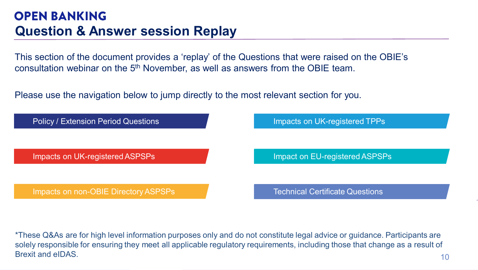<span id="page-9-0"></span>This section of the document provides a 'replay' of the Questions that were raised on the OBIE's consultation webinar on the 5<sup>th</sup> November, as well as answers from the OBIE team.

Please use the navigation below to jump directly to the most relevant section for you.



\*These Q&As are for high level information purposes only and do not constitute legal advice or guidance. Participants are solely responsible for ensuring they meet all applicable regulatory requirements, including those that change as a result of Brexit and eIDAS.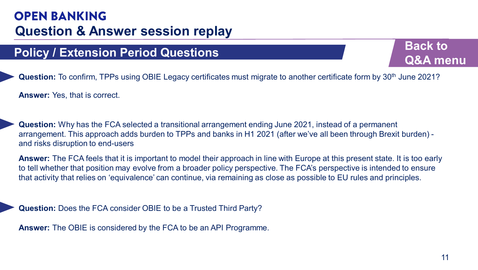# <span id="page-10-0"></span>**Policy / Extension Period Questions Back to be a set of the Back to**

**[Q&A menu](#page-9-0)**

**Question:** To confirm, TPPs using OBIE Legacy certificates must migrate to another certificate form by 30<sup>th</sup> June 2021?

**Answer:** Yes, that is correct.

**Question:** Why has the FCA selected a transitional arrangement ending June 2021, instead of a permanent arrangement. This approach adds burden to TPPs and banks in H1 2021 (after we've all been through Brexit burden) and risks disruption to end-users

**Answer:** The FCA feels that it is important to model their approach in line with Europe at this present state. It is too early to tell whether that position may evolve from a broader policy perspective. The FCA's perspective is intended to ensure that activity that relies on 'equivalence' can continue, via remaining as close as possible to EU rules and principles.

**Question:** Does the FCA consider OBIE to be a Trusted Third Party?

**Answer:** The OBIE is considered by the FCA to be an API Programme.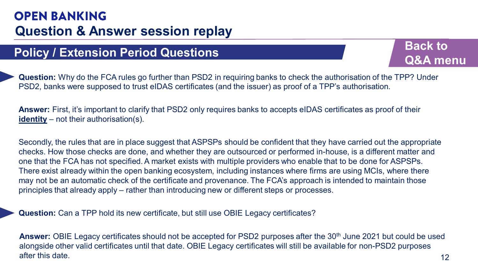# **Policy / Extension Period Questions Back to Back to Back to Back to Back to Back to Back to Back to Back to Back to Back to Back to Back to Back to Back to Back to Back to Back to Back to Back to Back to Back to Back to**

**[Q&A menu](#page-9-0)**

**Question:** Why do the FCA rules go further than PSD2 in requiring banks to check the authorisation of the TPP? Under PSD2, banks were supposed to trust eIDAS certificates (and the issuer) as proof of a TPP's authorisation.

**Answer:** First, it's important to clarify that PSD2 only requires banks to accepts eIDAS certificates as proof of their **identity** – not their authorisation(s).

Secondly, the rules that are in place suggest that ASPSPs should be confident that they have carried out the appropriate checks. How those checks are done, and whether they are outsourced or performed in-house, is a different matter and one that the FCA has not specified. A market exists with multiple providers who enable that to be done for ASPSPs. There exist already within the open banking ecosystem, including instances where firms are using MCIs, where there may not be an automatic check of the certificate and provenance. The FCA's approach is intended to maintain those principles that already apply – rather than introducing new or different steps or processes.

**Question:** Can a TPP hold its new certificate, but still use OBIE Legacy certificates?

Answer: OBIE Legacy certificates should not be accepted for PSD2 purposes after the 30<sup>th</sup> June 2021 but could be used alongside other valid certificates until that date. OBIE Legacy certificates will still be available for non-PSD2 purposes after this date.  $12$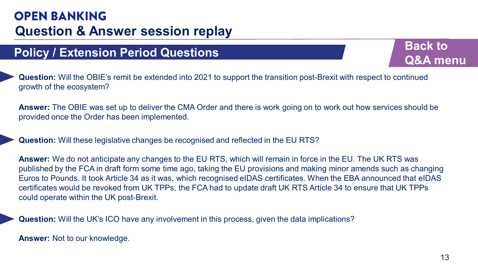# **Policy / Extension Period Questions Back to Back to be a set of the Back to**

**Question:** Will the OBIE's remit be extended into 2021 to support the transition post-Brexit with respect to continued growth of the ecosystem?

**Answer:** The OBIE was set up to deliver the CMA Order and there is work going on to work out how services should be provided once the Order has been implemented.

**Question:** Will these legislative changes be recognised and reflected in the EU RTS?

**Answer:** We do not anticipate any changes to the EU RTS, which will remain in force in the EU. The UK RTS was published by the FCA in draft form some time ago, taking the EU provisions and making minor amends such as changing Euros to Pounds. It took Article 34 as it was, which recognised eIDAS certificates. When the EBA announced that eIDAS certificates would be revoked from UK TPPs, the FCA had to update draft UK RTS Article 34 to ensure that UK TPPs could operate within the UK post-Brexit.

**Question:** Will the UK's ICO have any involvement in this process, given the data implications?

**Answer:** Not to our knowledge.

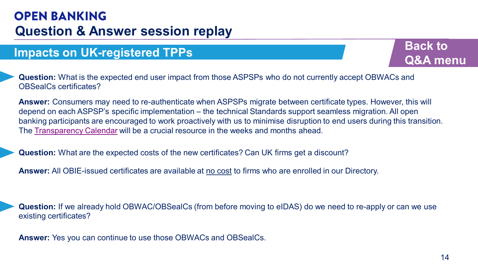## <span id="page-13-0"></span>**Impacts on UK-registered TPPs Back to Back to**



**Question:** What is the expected end user impact from those ASPSPs who do not currently accept OBWACs and OBSealCs certificates?

**Answer:** Consumers may need to re-authenticate when ASPSPs migrate between certificate types. However, this will depend on each ASPSP's specific implementation – the technical Standards support seamless migration. All open banking participants are encouraged to work proactively with us to minimise disruption to end users during this transition. The [Transparency Calendar](https://openbanking.atlassian.net/wiki/spaces/AD/pages/1135346433/Transparency+Calendar) will be a crucial resource in the weeks and months ahead.

**Question:** What are the expected costs of the new certificates? Can UK firms get a discount?

**Answer:** All OBIE-issued certificates are available at no cost to firms who are enrolled in our Directory.

**Question:** If we already hold OBWAC/OBSealCs (from before moving to eIDAS) do we need to re-apply or can we use existing certificates?

**Answer:** Yes you can continue to use those OBWACs and OBSealCs.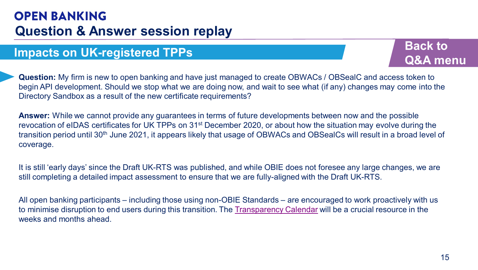## **Impacts on UK-registered TPPs Back to Back to**

**[Q&A menu](#page-9-0)**

**Question:** My firm is new to open banking and have just managed to create OBWACs / OBSealC and access token to begin API development. Should we stop what we are doing now, and wait to see what (if any) changes may come into the Directory Sandbox as a result of the new certificate requirements?

**Answer:** While we cannot provide any guarantees in terms of future developments between now and the possible revocation of eIDAS certificates for UK TPPs on 31st December 2020, or about how the situation may evolve during the transition period until 30<sup>th</sup> June 2021, it appears likely that usage of OBWACs and OBSealCs will result in a broad level of coverage.

It is still 'early days' since the Draft UK-RTS was published, and while OBIE does not foresee any large changes, we are still completing a detailed impact assessment to ensure that we are fully-aligned with the Draft UK-RTS.

All open banking participants – including those using non-OBIE Standards – are encouraged to work proactively with us to minimise disruption to end users during this transition. The [Transparency Calendar](https://openbanking.atlassian.net/wiki/spaces/AD/pages/1135346433/Transparency+Calendar) will be a crucial resource in the weeks and months ahead.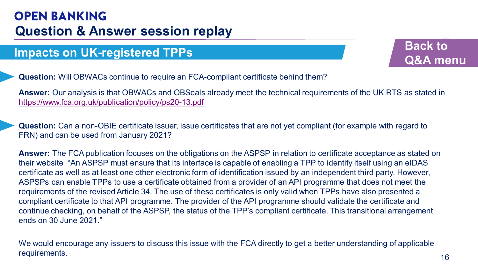# **Impacts on UK-registered TPPs Back to Back to**



**Question:** Will OBWACs continue to require an FCA-compliant certificate behind them?

**Answer:** Our analysis is that OBWACs and OBSeals already meet the technical requirements of the UK RTS as stated in <https://www.fca.org.uk/publication/policy/ps20-13.pdf>

**Question:** Can a non-OBIE certificate issuer, issue certificates that are not yet compliant (for example with regard to FRN) and can be used from January 2021?

**Answer:** The FCA publication focuses on the obligations on the ASPSP in relation to certificate acceptance as stated on their website "An ASPSP must ensure that its interface is capable of enabling a TPP to identify itself using an eIDAS certificate as well as at least one other electronic form of identification issued by an independent third party. However, ASPSPs can enable TPPs to use a certificate obtained from a provider of an API programme that does not meet the requirements of the revised Article 34. The use of these certificates is only valid when TPPs have also presented a compliant certificate to that API programme. The provider of the API programme should validate the certificate and continue checking, on behalf of the ASPSP, the status of the TPP's compliant certificate. This transitional arrangement ends on 30 June 2021."

We would encourage any issuers to discuss this issue with the FCA directly to get a better understanding of applicable requirements. The contract of the contract of the contract of the contract of the contract of the contract of the contract of the contract of the contract of the contract of the contract of the contract of the contract of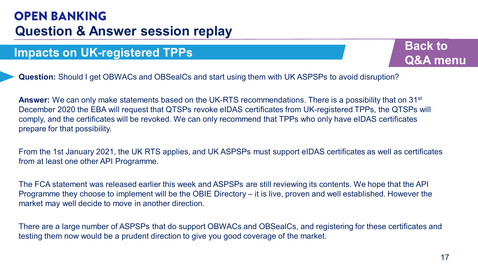## **Impacts on UK-registered TPPs Back to Back to**

**[Q&A menu](#page-9-0)**

**Question:** Should I get OBWACs and OBSealCs and start using them with UK ASPSPs to avoid disruption?

**Answer:** We can only make statements based on the UK-RTS recommendations. There is a possibility that on 31st December 2020 the EBA will request that QTSPs revoke eIDAS certificates from UK-registered TPPs, the QTSPs will comply, and the certificates will be revoked. We can only recommend that TPPs who only have eIDAS certificates prepare for that possibility.

From the 1st January 2021, the UK RTS applies, and UK ASPSPs must support eIDAS certificates as well as certificates from at least one other API Programme.

The FCA statement was released earlier this week and ASPSPs are still reviewing its contents. We hope that the API Programme they choose to implement will be the OBIE Directory – it is live, proven and well established. However the market may well decide to move in another direction.

There are a large number of ASPSPs that do support OBWACs and OBSealCs, and registering for these certificates and testing them now would be a prudent direction to give you good coverage of the market.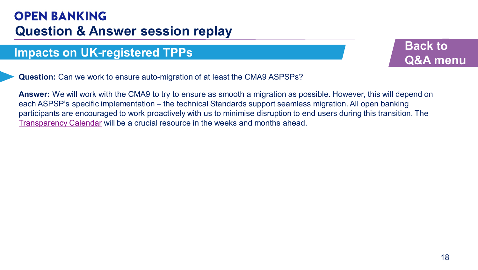## **Impacts on UK-registered TPPs Back to Back to**



**Question:** Can we work to ensure auto-migration of at least the CMA9 ASPSPs?

**Answer:** We will work with the CMA9 to try to ensure as smooth a migration as possible. However, this will depend on each ASPSP's specific implementation – the technical Standards support seamless migration. All open banking participants are encouraged to work proactively with us to minimise disruption to end users during this transition. The [Transparency Calendar](https://openbanking.atlassian.net/wiki/spaces/AD/pages/1135346433/Transparency+Calendar) will be a crucial resource in the weeks and months ahead.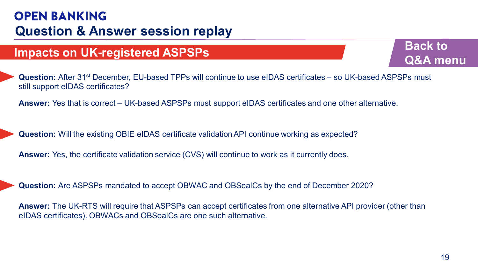## <span id="page-18-0"></span>**Impacts on UK-registered ASPSPs Back to Back to**

**[Q&A menu](#page-9-0)**

**Question:** After 31st December, EU-based TPPs will continue to use eIDAS certificates – so UK-based ASPSPs must still support eIDAS certificates?

**Answer:** Yes that is correct – UK-based ASPSPs must support eIDAS certificates and one other alternative.

**Question:** Will the existing OBIE eIDAS certificate validation API continue working as expected?

**Answer:** Yes, the certificate validation service (CVS) will continue to work as it currently does.

**Question:** Are ASPSPs mandated to accept OBWAC and OBSealCs by the end of December 2020?

**Answer:** The UK-RTS will require that ASPSPs can accept certificates from one alternative API provider (other than eIDAS certificates). OBWACs and OBSealCs are one such alternative.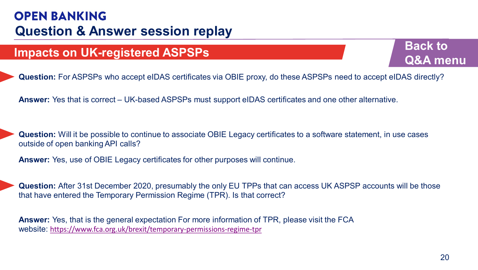# **Impacts on UK-registered ASPSPs Back to Back to Back to Back to Back to Back to Back to Back to Back to Back to Back to Back to Back to Back to Back to Back to Back to Back to Back to Back to Back to Back to Back to Bac**



**Question:** For ASPSPs who accept eIDAS certificates via OBIE proxy, do these ASPSPs need to accept eIDAS directly?

**Answer:** Yes that is correct – UK-based ASPSPs must support eIDAS certificates and one other alternative.

**Question:** Will it be possible to continue to associate OBIE Legacy certificates to a software statement, in use cases outside of open banking API calls?

**Answer:** Yes, use of OBIE Legacy certificates for other purposes will continue.

**Question:** After 31st December 2020, presumably the only EU TPPs that can access UK ASPSP accounts will be those that have entered the Temporary Permission Regime (TPR). Is that correct?

**Answer:** Yes, that is the general expectation For more information of TPR, please visit the FCA website: <https://www.fca.org.uk/brexit/temporary-permissions-regime-tpr>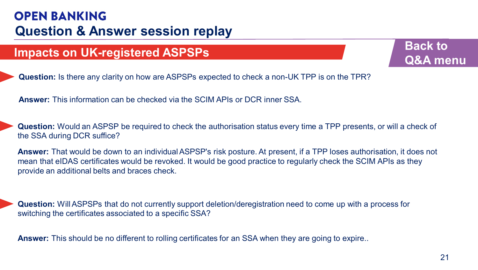# **Impacts on UK-registered ASPSPs Back to Back to Back to Back to Back to Back to Back to Back to Back to Back to Back to Back to Back to Back to Back to Back to Back to Back to Back to Back to Back to Back to Back to Bac**

**[Q&A menu](#page-9-0)**

**Question:** Is there any clarity on how are ASPSPs expected to check a non-UK TPP is on the TPR?

**Answer:** This information can be checked via the SCIM APIs or DCR inner SSA.

**Question:** Would an ASPSP be required to check the authorisation status every time a TPP presents, or will a check of the SSA during DCR suffice?

**Answer:** That would be down to an individual ASPSP's risk posture. At present, if a TPP loses authorisation, it does not mean that eIDAS certificates would be revoked. It would be good practice to regularly check the SCIM APIs as they provide an additional belts and braces check.

**Question:** Will ASPSPs that do not currently support deletion/deregistration need to come up with a process for switching the certificates associated to a specific SSA?

**Answer:** This should be no different to rolling certificates for an SSA when they are going to expire..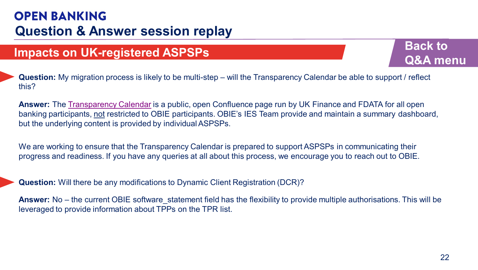# **Impacts on UK-registered ASPSPs Back to Back to**

**[Q&A menu](#page-9-0)**

**Question:** My migration process is likely to be multi-step – will the Transparency Calendar be able to support / reflect this?

**Answer:** The [Transparency Calendar](https://openbanking.atlassian.net/wiki/spaces/AD/pages/1135346433/Transparency+Calendar) is a public, open Confluence page run by UK Finance and FDATA for all open banking participants, not restricted to OBIE participants. OBIE's IES Team provide and maintain a summary dashboard, but the underlying content is provided by individual ASPSPs.

We are working to ensure that the Transparency Calendar is prepared to support ASPSPs in communicating their progress and readiness. If you have any queries at all about this process, we encourage you to reach out to OBIE.

**Question:** Will there be any modifications to Dynamic Client Registration (DCR)?

**Answer:** No – the current OBIE software statement field has the flexibility to provide multiple authorisations. This will be leveraged to provide information about TPPs on the TPR list.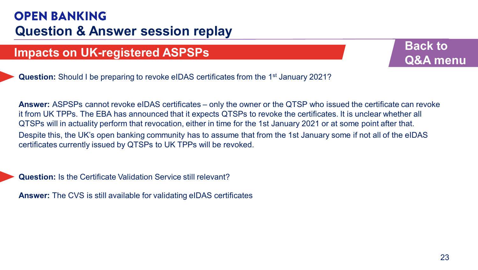# **Impacts on UK-registered ASPSPs Back to Back to**

**[Q&A menu](#page-9-0)**

**Question:** Should I be preparing to revoke eIDAS certificates from the 1<sup>st</sup> January 2021?

**Answer:** ASPSPs cannot revoke eIDAS certificates – only the owner or the QTSP who issued the certificate can revoke it from UK TPPs. The EBA has announced that it expects QTSPs to revoke the certificates. It is unclear whether all QTSPs will in actuality perform that revocation, either in time for the 1st January 2021 or at some point after that. Despite this, the UK's open banking community has to assume that from the 1st January some if not all of the eIDAS certificates currently issued by QTSPs to UK TPPs will be revoked.

**Question:** Is the Certificate Validation Service still relevant?

**Answer:** The CVS is still available for validating eIDAS certificates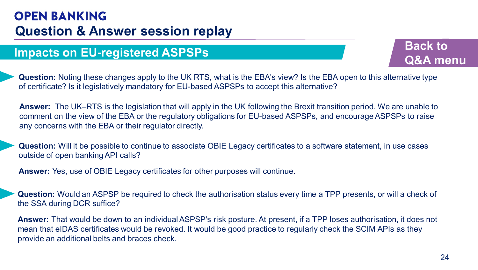## <span id="page-23-0"></span>**Impacts on EU-registered ASPSPs Back to**

**[Q&A menu](#page-9-0)**

**Question:** Noting these changes apply to the UK RTS, what is the EBA's view? Is the EBA open to this alternative type of certificate? Is it legislatively mandatory for EU-based ASPSPs to accept this alternative?

**Answer:** The UK–RTS is the legislation that will apply in the UK following the Brexit transition period. We are unable to comment on the view of the EBA or the regulatory obligations for EU-based ASPSPs, and encourage ASPSPs to raise any concerns with the EBA or their regulator directly.

**Question:** Will it be possible to continue to associate OBIE Legacy certificates to a software statement, in use cases outside of open banking API calls?

**Answer:** Yes, use of OBIE Legacy certificates for other purposes will continue.

**Question:** Would an ASPSP be required to check the authorisation status every time a TPP presents, or will a check of the SSA during DCR suffice?

**Answer:** That would be down to an individual ASPSP's risk posture. At present, if a TPP loses authorisation, it does not mean that eIDAS certificates would be revoked. It would be good practice to regularly check the SCIM APIs as they provide an additional belts and braces check.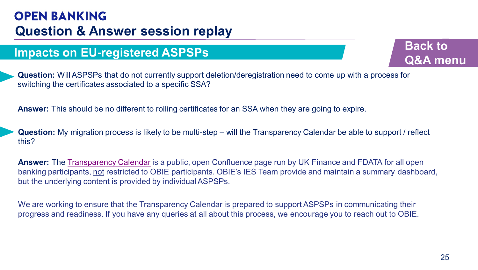## **Impacts on EU-registered ASPSPs Back to**

**[Q&A menu](#page-9-0)**

**Question:** Will ASPSPs that do not currently support deletion/deregistration need to come up with a process for switching the certificates associated to a specific SSA?

**Answer:** This should be no different to rolling certificates for an SSA when they are going to expire.

**Question:** My migration process is likely to be multi-step – will the Transparency Calendar be able to support / reflect this?

**Answer:** The [Transparency Calendar](https://openbanking.atlassian.net/wiki/spaces/AD/pages/1135346433/Transparency+Calendar) is a public, open Confluence page run by UK Finance and FDATA for all open banking participants, not restricted to OBIE participants. OBIE's IES Team provide and maintain a summary dashboard, but the underlying content is provided by individual ASPSPs.

We are working to ensure that the Transparency Calendar is prepared to support ASPSPs in communicating their progress and readiness. If you have any queries at all about this process, we encourage you to reach out to OBIE.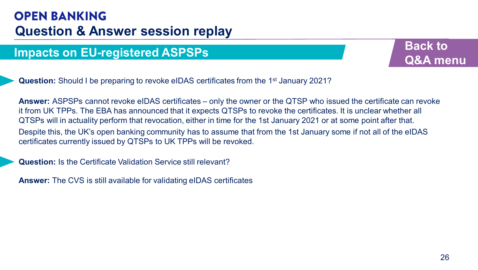# **Impacts on EU-registered ASPSPs Back to**

**[Q&A menu](#page-9-0)**

**Question:** Should I be preparing to revoke eIDAS certificates from the 1<sup>st</sup> January 2021?

**Answer:** ASPSPs cannot revoke eIDAS certificates – only the owner or the QTSP who issued the certificate can revoke it from UK TPPs. The EBA has announced that it expects QTSPs to revoke the certificates. It is unclear whether all QTSPs will in actuality perform that revocation, either in time for the 1st January 2021 or at some point after that. Despite this, the UK's open banking community has to assume that from the 1st January some if not all of the eIDAS certificates currently issued by QTSPs to UK TPPs will be revoked.

**Question:** Is the Certificate Validation Service still relevant?

**Answer:** The CVS is still available for validating eIDAS certificates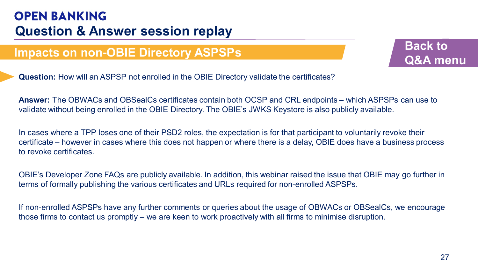## <span id="page-26-0"></span>**Impacts on non-OBIE Directory ASPSPs Back to**



**Question:** How will an ASPSP not enrolled in the OBIE Directory validate the certificates?

**Answer:** The OBWACs and OBSealCs certificates contain both OCSP and CRL endpoints – which ASPSPs can use to validate without being enrolled in the OBIE Directory. The OBIE's JWKS Keystore is also publicly available.

In cases where a TPP loses one of their PSD2 roles, the expectation is for that participant to voluntarily revoke their certificate – however in cases where this does not happen or where there is a delay, OBIE does have a business process to revoke certificates.

OBIE's Developer Zone FAQs are publicly available. In addition, this webinar raised the issue that OBIE may go further in terms of formally publishing the various certificates and URLs required for non-enrolled ASPSPs.

If non-enrolled ASPSPs have any further comments or queries about the usage of OBWACs or OBSealCs, we encourage those firms to contact us promptly – we are keen to work proactively with all firms to minimise disruption.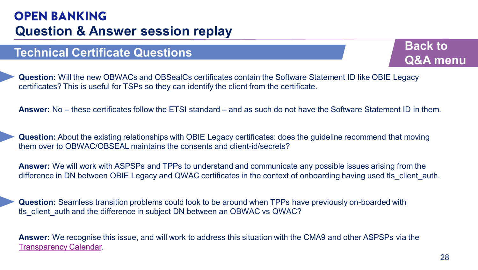## <span id="page-27-0"></span>**Technical Certificate Questions Back to Back to**



**Question:** Will the new OBWACs and OBSealCs certificates contain the Software Statement ID like OBIE Legacy certificates? This is useful for TSPs so they can identify the client from the certificate.

**Answer:** No – these certificates follow the ETSI standard – and as such do not have the Software Statement ID in them.

**Question:** About the existing relationships with OBIE Legacy certificates: does the guideline recommend that moving them over to OBWAC/OBSEAL maintains the consents and client-id/secrets?

**Answer:** We will work with ASPSPs and TPPs to understand and communicate any possible issues arising from the difference in DN between OBIE Legacy and QWAC certificates in the context of onboarding having used tls client auth.

**Question:** Seamless transition problems could look to be around when TPPs have previously on-boarded with tls client auth and the difference in subject DN between an OBWAC vs QWAC?

**Answer:** We recognise this issue, and will work to address this situation with the CMA9 and other ASPSPs via the [Transparency Calendar.](https://openbanking.atlassian.net/wiki/spaces/AD/pages/1135346433/Transparency+Calendar)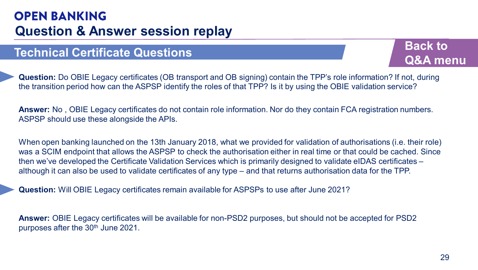## **Technical Certificate Questions Back to Back to**

**[Q&A menu](#page-9-0)**

**Question:** Do OBIE Legacy certificates (OB transport and OB signing) contain the TPP's role information? If not, during the transition period how can the ASPSP identify the roles of that TPP? Is it by using the OBIE validation service?

**Answer:** No , OBIE Legacy certificates do not contain role information. Nor do they contain FCA registration numbers. ASPSP should use these alongside the APIs.

When open banking launched on the 13th January 2018, what we provided for validation of authorisations (i.e. their role) was a SCIM endpoint that allows the ASPSP to check the authorisation either in real time or that could be cached. Since then we've developed the Certificate Validation Services which is primarily designed to validate eIDAS certificates – although it can also be used to validate certificates of any type – and that returns authorisation data for the TPP.

**Question:** Will OBIE Legacy certificates remain available for ASPSPs to use after June 2021?

**Answer:** OBIE Legacy certificates will be available for non-PSD2 purposes, but should not be accepted for PSD2 purposes after the 30<sup>th</sup> June 2021.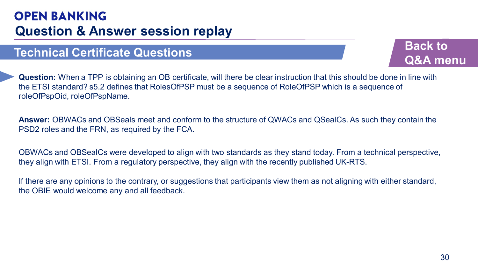## **Technical Certificate Questions Back to Back to**



**Question:** When a TPP is obtaining an OB certificate, will there be clear instruction that this should be done in line with the ETSI standard? s5.2 defines that RolesOfPSP must be a sequence of RoleOfPSP which is a sequence of roleOfPspOid, roleOfPspName.

**Answer:** OBWACs and OBSeals meet and conform to the structure of QWACs and QSealCs. As such they contain the PSD2 roles and the FRN, as required by the FCA.

OBWACs and OBSealCs were developed to align with two standards as they stand today. From a technical perspective, they align with ETSI. From a regulatory perspective, they align with the recently published UK-RTS.

If there are any opinions to the contrary, or suggestions that participants view them as not aligning with either standard, the OBIE would welcome any and all feedback.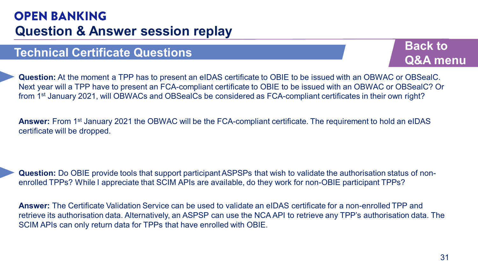## **Technical Certificate Questions Back to a set of the Back to be a set of the Back to**

**[Q&A menu](#page-9-0)**

**Question:** At the moment a TPP has to present an eIDAS certificate to OBIE to be issued with an OBWAC or OBSealC. Next year will a TPP have to present an FCA-compliant certificate to OBIE to be issued with an OBWAC or OBSealC? Or from 1st January 2021, will OBWACs and OBSealCs be considered as FCA-compliant certificates in their own right?

**Answer:** From 1st January 2021 the OBWAC will be the FCA-compliant certificate. The requirement to hold an eIDAS certificate will be dropped.

**Question:** Do OBIE provide tools that support participant ASPSPs that wish to validate the authorisation status of nonenrolled TPPs? While I appreciate that SCIM APIs are available, do they work for non-OBIE participant TPPs?

**Answer:** The Certificate Validation Service can be used to validate an eIDAS certificate for a non-enrolled TPP and retrieve its authorisation data. Alternatively, an ASPSP can use the NCA API to retrieve any TPP's authorisation data. The SCIM APIs can only return data for TPPs that have enrolled with OBIE.